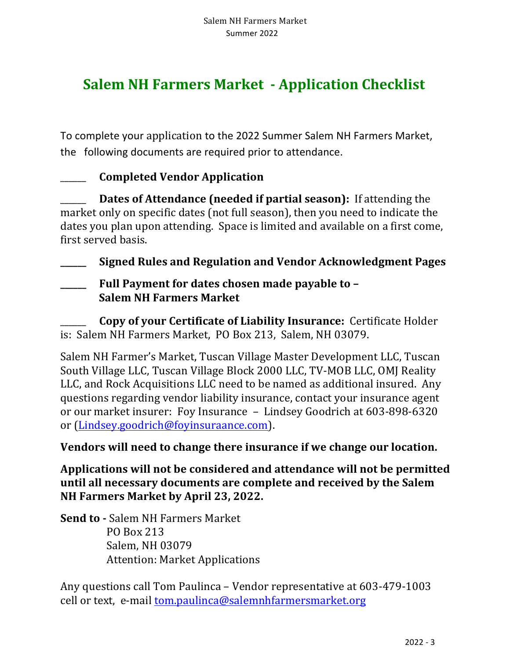# **Salem NH Farmers Market - Application Checklist**

To complete your application to the 2022 Summer Salem NH Farmers Market, the following documents are required prior to attendance.

### **\_\_\_\_\_\_** Completed Vendor Application

**Dates of Attendance (needed if partial season):** If attending the market only on specific dates (not full season), then you need to indicate the dates you plan upon attending. Space is limited and available on a first come, first served basis.

**Signed Rules and Regulation and Vendor Acknowledgment Pages** 

Full Payment for dates chosen made payable to -**Salem NH Farmers Market** 

**Copy of your Certificate of Liability Insurance:** Certificate Holder is: Salem NH Farmers Market, PO Box 213, Salem, NH 03079.

Salem NH Farmer's Market, Tuscan Village Master Development LLC, Tuscan South Village LLC, Tuscan Village Block 2000 LLC, TV-MOB LLC, OMJ Reality LLC, and Rock Acquisitions LLC need to be named as additional insured. Any questions regarding vendor liability insurance, contact your insurance agent or our market insurer: Foy Insurance - Lindsey Goodrich at 603-898-6320 or (Lindsey.goodrich@foyinsuraance.com). 

**Vendors will need to change there insurance if we change our location.** 

Applications will not be considered and attendance will not be permitted **until all necessary documents are complete and received by the Salem NH Farmers Market by April 23, 2022.** 

**Send to - Salem NH Farmers Market**  PO Box 213 Salem, NH 03079 Attention: Market Applications

Any questions call Tom Paulinca – Vendor representative at 603-479-1003 cell or text, e-mail tom.paulinca@salemnhfarmersmarket.org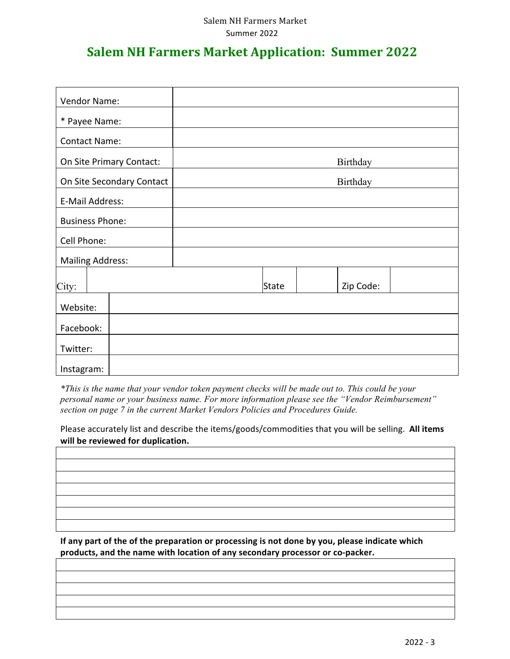#### Salem NH Farmers Market Summer 2022

## **Salem NH Farmers Market Application: Summer 2022**

| Vendor Name:              |              |           |
|---------------------------|--------------|-----------|
| * Payee Name:             |              |           |
| <b>Contact Name:</b>      |              |           |
| On Site Primary Contact:  |              | Birthday  |
| On Site Secondary Contact |              | Birthday  |
| E-Mail Address:           |              |           |
| <b>Business Phone:</b>    |              |           |
| Cell Phone:               |              |           |
| <b>Mailing Address:</b>   |              |           |
| City:                     | <b>State</b> | Zip Code: |
| Website:                  |              |           |
| Facebook:                 |              |           |
| Twitter:                  |              |           |
| Instagram:                |              |           |

*\*This is the name that your vendor token payment checks will be made out to. This could be your personal name or your business name. For more information please see the "Vendor Reimbursement" section on page 7 in the current Market Vendors Policies and Procedures Guide.* 

Please accurately list and describe the items/goods/commodities that you will be selling. All items will be reviewed for duplication.

If any part of the of the preparation or processing is not done by you, please indicate which products, and the name with location of any secondary processor or co-packer.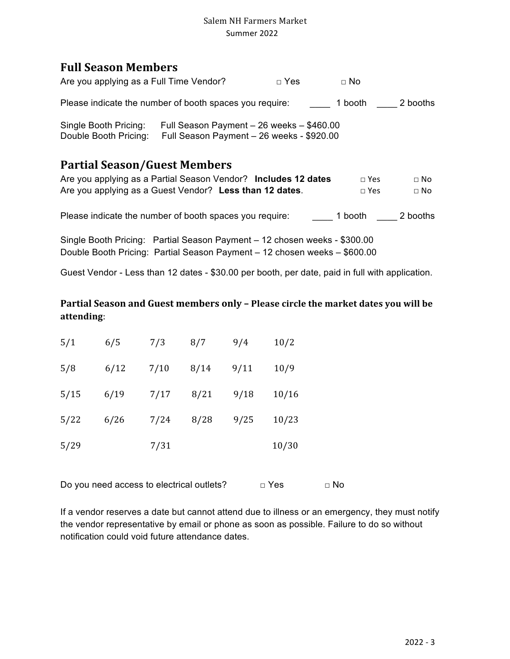#### Salem NH Farmers Market Summer 2022

### **Full Season Members**

| <b>Partial Season/Guest Members</b>                     |                                                                                        |            |           |          |
|---------------------------------------------------------|----------------------------------------------------------------------------------------|------------|-----------|----------|
| Single Booth Pricing:<br>Double Booth Pricing:          | Full Season Payment - 26 weeks - \$460.00<br>Full Season Payment - 26 weeks - \$920.00 |            |           |          |
| Please indicate the number of booth spaces you require: |                                                                                        |            | 1 booth   | 2 booths |
| Are you applying as a Full Time Vendor?                 |                                                                                        | $\Box$ Yes | $\Box$ No |          |

| Are you applying as a Partial Season Vendor? Includes 12 dates | $\Box$ Yes   | ⊟ No |
|----------------------------------------------------------------|--------------|------|
| Are you applying as a Guest Vendor? Less than 12 dates.        | $\sqcap$ Yes | ⊟ No |
|                                                                |              |      |

Please indicate the number of booth spaces you require: \_\_\_\_\_\_\_\_ 1 booth \_\_\_\_\_\_ 2 booths

Single Booth Pricing: Partial Season Payment – 12 chosen weeks - \$300.00 Double Booth Pricing: Partial Season Payment – 12 chosen weeks – \$600.00

Guest Vendor - Less than 12 dates - \$30.00 per booth, per date, paid in full with application.

#### Partial Season and Guest members only - Please circle the market dates you will be **attending**:

| 5/1  | 6/5  | 7/3  | 8/7  | 9/4  | 10/2  |  |
|------|------|------|------|------|-------|--|
| 5/8  | 6/12 | 7/10 | 8/14 | 9/11 | 10/9  |  |
| 5/15 | 6/19 | 7/17 | 8/21 | 9/18 | 10/16 |  |
| 5/22 | 6/26 | 7/24 | 8/28 | 9/25 | 10/23 |  |
| 5/29 |      | 7/31 |      |      | 10/30 |  |

Do you need access to electrical outlets? □ Yes □ No

If a vendor reserves a date but cannot attend due to illness or an emergency, they must notify the vendor representative by email or phone as soon as possible. Failure to do so without notification could void future attendance dates.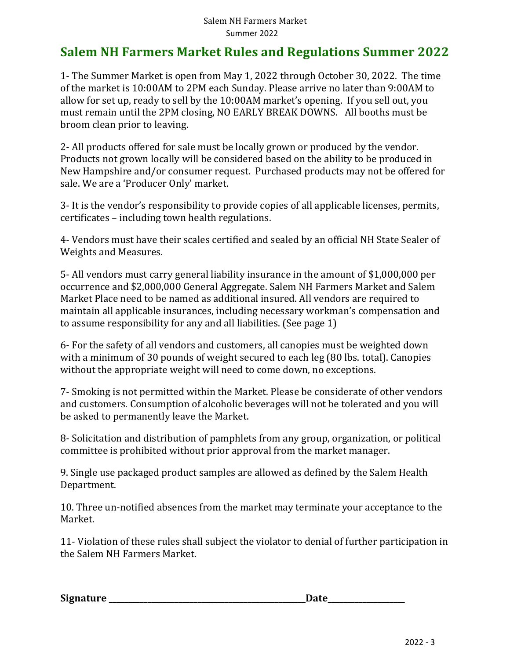## **Salem NH Farmers Market Rules and Regulations Summer 2022**

1- The Summer Market is open from May 1, 2022 through October 30, 2022. The time of the market is 10:00AM to 2PM each Sunday. Please arrive no later than 9:00AM to allow for set up, ready to sell by the 10:00AM market's opening. If you sell out, you must remain until the 2PM closing, NO EARLY BREAK DOWNS. All booths must be broom clean prior to leaving.

2- All products offered for sale must be locally grown or produced by the vendor. Products not grown locally will be considered based on the ability to be produced in New Hampshire and/or consumer request. Purchased products may not be offered for sale. We are a 'Producer Only' market.

3- It is the vendor's responsibility to provide copies of all applicable licenses, permits, certificates – including town health regulations.

4- Vendors must have their scales certified and sealed by an official NH State Sealer of Weights and Measures.

5- All vendors must carry general liability insurance in the amount of \$1,000,000 per occurrence and \$2,000,000 General Aggregate. Salem NH Farmers Market and Salem Market Place need to be named as additional insured. All vendors are required to maintain all applicable insurances, including necessary workman's compensation and to assume responsibility for any and all liabilities. (See page 1)

6- For the safety of all vendors and customers, all canopies must be weighted down with a minimum of 30 pounds of weight secured to each leg (80 lbs. total). Canopies without the appropriate weight will need to come down, no exceptions.

7- Smoking is not permitted within the Market. Please be considerate of other vendors and customers. Consumption of alcoholic beverages will not be tolerated and you will be asked to permanently leave the Market.

8- Solicitation and distribution of pamphlets from any group, organization, or political committee is prohibited without prior approval from the market manager.

9. Single use packaged product samples are allowed as defined by the Salem Health Department. 

10. Three un-notified absences from the market may terminate your acceptance to the Market.

11- Violation of these rules shall subject the violator to denial of further participation in the Salem NH Farmers Market.

| <b>Signature</b> |  |
|------------------|--|
|------------------|--|